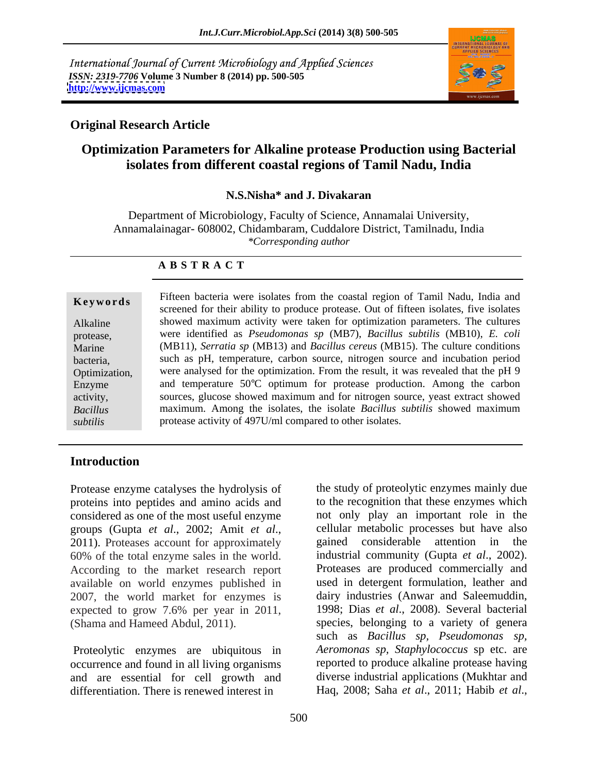International Journal of Current Microbiology and Applied Sciences *ISSN: 2319-7706* **Volume 3 Number 8 (2014) pp. 500-505 <http://www.ijcmas.com>**



### **Original Research Article**

## **Optimization Parameters for Alkaline protease Production using Bacterial isolates from different coastal regions of Tamil Nadu, India**

#### **N.S.Nisha\* and J. Divakaran**

Department of Microbiology, Faculty of Science, Annamalai University, Annamalainagar- 608002, Chidambaram, Cuddalore District, Tamilnadu, India *\*Corresponding author* 

#### **A B S T R A C T**

**Keywords** The real pacternal were isolates from the coastal region of Tanin Ivadu, mula and screened for their ability to produce protease. Out of fifteen isolates, five isolates Alkaline showed maximum activity were taken for optimization parameters. The cultures protease, were identified as *Pseudomonas sp* (MB7), *Bacillus subtilis* (MB10), *E. coli* Marine (MB11), *Serratia sp* (MB13) and *Bacillus cereus* (MB15). The culture conditions bacteria, such as pH, temperature, carbon source, nitrogen source and incubation period Optimization, were analysed for the optimization. From the result, it was revealed that the pH 9 Enzyme and temperature 50°C optimum for protease production. Among the carbon activity, sources, glucose showed maximum and for nitrogen source, yeast extract showed *Bacillus*  maximum. Among the isolates, the isolate*Bacillus subtilis* showed maximum **Example 18** Fifteen bacteria were isolates from the coastal region of Tamil Nadu, India and<br>
screened for their ability to produce protease. Out of fifteen isolates, five isolates<br>
protease, were identified as *Pseudomona* protease activity of 497U/ml compared to other isolates.

### **Introduction**

proteins into peptides and amino acids and 60% of the total enzyme sales in the world. industrial community (Gupta et al., 2002). According to the market research report Proteases are produced commercially and available on world enzymes published in expected to grow 7.6% per year in 2011,<br>(Shama and Hameed Abdul, 2011).

occurrence and found in all living organisms and are essential for cell growth and differentiation. There is renewed interest in Haq, 2008; Saha *et al*., 2011; Habib *et al*.,

Protease enzyme catalyses the hydrolysis of the study of proteolytic enzymes mainly due considered as one of the most useful enzyme not only play an important role in the groups (Gupta *et al*., 2002; Amit *et al*., 2011). Proteases account for approximately 2007, the world market for enzymes is dairy industries (Anwar and Saleemuddin, (Shama and Hameed Abdul, 2011). species, belonging to a variety of genera Proteolytic enzymes are ubiquitous in *Aeromonas sp*, *Staphylococcus* sp etc. are to the recognition that these enzymes which cellular metabolic processes but have also gained considerable attention in the industrial community (Gupta *et al.*, 2002).<br>Proteases are produced commercially and used in detergent formulation, leather and 1998; Dias *et al*., 2008). Several bacterial such as *Bacillus sp, Pseudomonas sp, Aeromonas sp, Staphylococcus* sp etc. are reported to produce alkaline protease having diverse industrial applications (Mukhtar and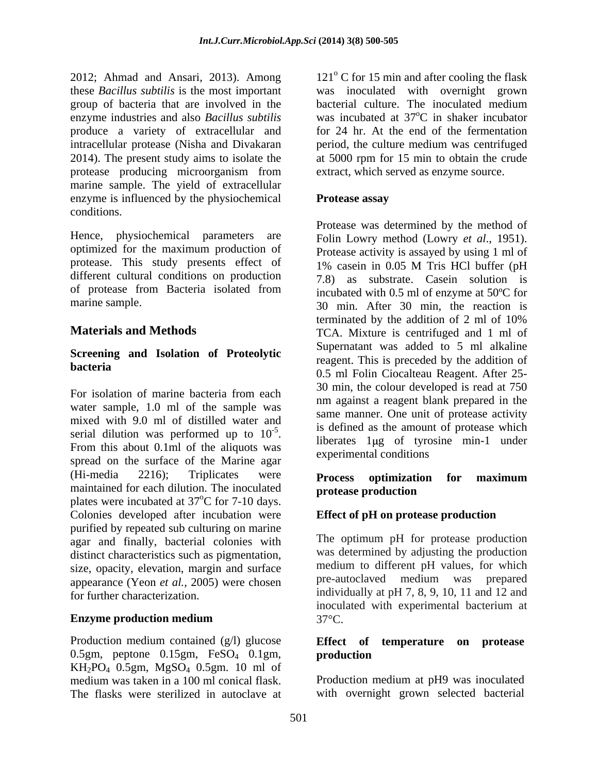group of bacteria that are involved in the bacterial culture. The inoculated medium enzyme industries and also *Bacillus subtilis* produce a variety of extracellular and protease producing microorganism from marine sample. The yield of extracellular enzyme is influenced by the physiochemical **Protease assay** conditions.

Hence, physiochemical parameters are Folin Lowry method (Lowry *et al.*, 1951). optimized for the maximum production of Protease activity is assayed by using 1 ml of protease. This study presents effect of 1% casein in 0.05 M Tris HCl buffer (pH different cultural conditions on production of protease from Bacteria isolated from

# **Screening and Isolation of Proteolytic**

water sample, 1.0 ml of the sample was mixed with 9.0 ml of distilled water and serial dilution was performed up to  $10^{-5}$ . spread on the surface of the Marine agar (Hi-media 2216); Triplicates were **Process ontimization for maximum** maintained for each dilution. The inoculated **protease production** plates were incubated at 37<sup>o</sup>C for 7-10 days.  $^{\circ}$ C for 7-10 days. Colonies developed after incubation were purified by repeated sub culturing on marine agar and finally, bacterial colonies with distinct characteristics such as pigmentation, size, opacity, elevation, margin and surface and medium to different pH values, for which<br>appearance (Yeon et al. 2005) were chosen and pre-autoclaved medium was prepared appearance (Yeon *et al.,* 2005) were chosen

Production medium contained (g/l) glucose **Effect** of temperature on protease 0.5gm, peptone 0.15gm, FeSO<sub>4</sub> 0.1gm, production KH2PO4 0.5gm, MgSO4 0.5gm. 10 ml of medium was taken in a 100 ml conical flask. The flasks were sterilized in autoclave at

2012; Ahmad and Ansari, 2013). Among  $121^\circ$  C for 15 min and after cooling the flask these *Bacillus subtilis* is the most important was inoculated with overnight grown intracellular protease (Nisha and Divakaran period, the culture medium was centrifuged 2014). The present study aims to isolate the at 5000 rpm for 15 min to obtain the crude bacterial culture. The inoculated medium was incubated at  $37^{\circ}$ C in shaker incubator <sup>o</sup>C in shaker incubator for 24 hr. At the end of the fermentation extract, which served as enzyme source.

### **Protease assay**

marine sample. 30 min. After 30 min, the reaction is **Materials and Methods** TCA. Mixture is centrifuged and 1 ml of **bacteria**<br>
0.5 ml Folin Ciocalteau Reagent. After 25-For isolation of marine bacteria from each the society are controlled in the Fourth of the Fourth of the second in the  $\frac{1}{15}$  is defined as the amount of protease which serial dilution was performed up to  $10^{-5}$ .<br>From this about 0.1ml of the aliquots was  $\frac{1 \text{ m} \cdot \text{m}}{2 \text{ m} \cdot \text{m}}$  and  $\frac{1 \text{ m}}{2 \text{ m}}$  and  $\frac{1 \text{ m}}{2 \text{ m}}$  and  $\frac{1 \text{ m}}{2 \text{ m}}$  and  $\frac{1 \text{ m}}{2 \text{ m}}$  and  $\frac{1$ Protease was determined by the method of Folin Lowry method (Lowry *et al*., 1951). Protease activity is assayed by using <sup>1</sup> ml of 1% casein in 0.05 M Tris HCl buffer (pH 7.8) as substrate. Casein solution is incubated with 0.5 ml of enzyme at 50ºC for terminated by the addition of 2 ml of 10% Supernatant was added to 5 ml alkaline reagent. This is preceded by the addition of 30 min, the colour developed is read at 750 nm against a reagent blank prepared in the same manner. One unit of protease activity liberates 1 ug of tyrosine min-1 under experimental conditions

### **Process optimization for maximum protease production**

### **Effect of pH on protease production**

for further characterization. individually at pH 7, 8, 9, 10, 11 and 12 and **Enzyme production medium** 37°C. The optimum pH for protease production was determined by adjusting the production medium to different pH values, for which pre-autoclaved medium was prepared inoculated with experimental bacterium at  $37^{\circ}$ C.

#### **Effect of temperature on protease production**

Production medium at pH9 was inoculated with overnight grown selected bacterial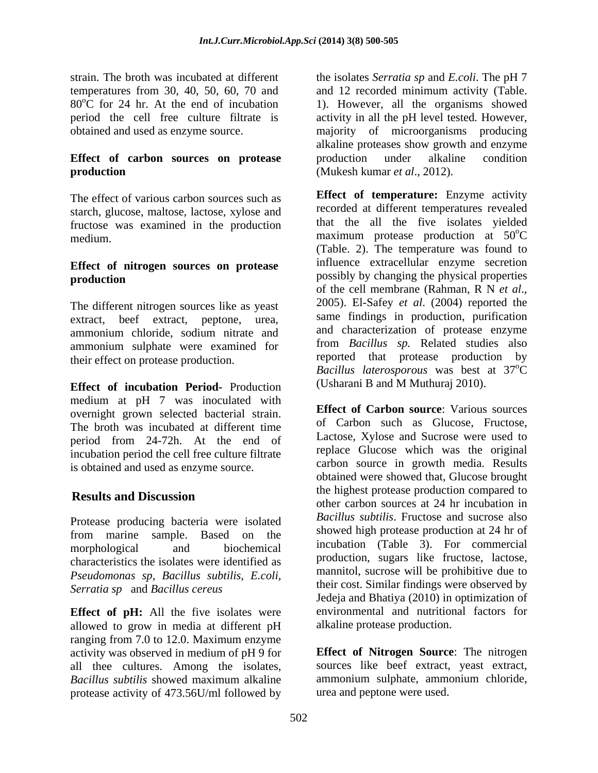### **Effect of carbon sources on protease production**  (Mukesh kumar *et al*., 2012).

The effect of various carbon sources such as starch, glucose, maltose, lactose, xylose and fructose was examined in the production

# **Effect of nitrogen sources on protease**

extract, beef extract, peptone, urea, ammonium sulphate were examined for their studies also<br>their offection protoges production<br>their offection protoges production their effect on protease production.

**Effect of incubation Period-** Production medium at pH 7 was inoculated with overnight grown selected bacterial strain. The broth was incubated at different time period from 24-72h. At the end of incubation period the cell free culture filtrate is obtained and used as enzyme source.

Protease producing bacteria were isolated from marine sample. Based on the characteristics the isolates were identified as *Pseudomonas sp, Bacillus subtilis, E.coli, Serratia sp* and *Bacillus cereus*

**Effect of pH:** All the five isolates were allowed to grow in media at different pH ranging from 7.0 to 12.0. Maximum enzyme activity was observed in medium of pH 9 for all thee cultures. Among the isolates, sources like beef extract, yeast extract, *Bacillus subtilis* showed maximum alkaline protease activity of 473.56U/ml followed by

strain. The broth was incubated at different the isolates *Serratia sp* and *E.coli*. The pH 7 temperatures from 30, 40, 50, 60, 70 and and 12 recorded minimum activity (Table.  $80^{\circ}$ C for 24 hr. At the end of incubation 1). However, all the organisms showed period the cell free culture filtrate is activity in all the pH level tested*.* However, obtained and used as enzyme source. majority of microorganisms producing alkaline proteases show growth and enzyme production under alkaline condition

medium. **production** The different nitrogen sources like as yeast 2005). El-Safey et al. (2004) reported the ammonium chloride, sodium nitrate and and characterization of protease enzyme **Effect of temperature:** Enzyme activity recorded at different temperatures revealed that the all the five isolates yielded <sup>o</sup>C (Table. 2). The temperature was found to influence extracellular enzyme secretion of the cell membrane (Rahman, <sup>R</sup> <sup>N</sup> *et al*., 2005). El-Safey *et al*. (2004) reported the same findings in production, purification and characterization of protease enzyme from *Bacillus sp.* Related studies also reported that protease production *Bacillus laterosporous* was best at 37  $\overline{C}$ (Usharani B and M Muthuraj 2010).

**Results and Discussion** the manufacture of the number of the series of 24 he incubation in morphological and biochemical incubation (Table 3). For commercial **Effect of Carbon source**: Various sources of Carbon such as Glucose, Fructose, Lactose, Xylose and Sucrose were used to replace Glucose which was the original carbon source in growth media. Results obtained were showed that, Glucose brought the highest protease production compared to other carbon sources at 24 hr incubation in *Bacillus subtilis*. Fructose and sucrose also showed high protease production at 24 hr of incubation (Table 3). For commercial production, sugars like fructose, lactose, mannitol, sucrose will be prohibitive due to their cost. Similar findings were observed by Jedeja and Bhatiya (2010) in optimization of environmental and nutritional factors for alkaline protease production.

> **Effect of Nitrogen Source**: The nitrogen ammonium sulphate, ammonium chloride, urea and peptone were used.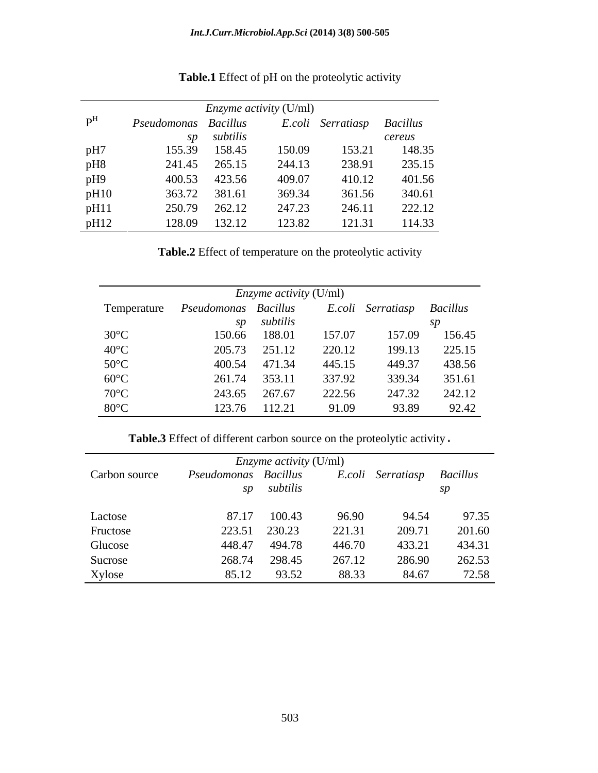|                           |                      |             | <i>Enzyme activity</i> (U/ml) |                            |        |
|---------------------------|----------------------|-------------|-------------------------------|----------------------------|--------|
| $\mathbf{p}^{\mathrm{H}}$ | Pseudomonas Bacillus |             |                               | E.coli Serratiasp Bacillus |        |
|                           |                      | sp subtilis |                               |                            | cereus |
| pH7                       | 155.39               | 158.45      | 150.09                        | 153.21                     | 148.35 |
| pH8                       | 241.45               | 265.15      | 244.13                        | 238.91                     | 235.15 |
| pH9                       | 400.53               | 423.56      | 409.07                        | 410.12                     | 401.56 |
| pH10                      | 363.72               | 381.61      | 369.34                        | 361.56                     | 340.61 |
| pH11                      | 250.79               | 262.12      | 247.23                        | 246.11                     | 222.12 |
| pH12                      | 128.09               | 132.12      | 123.82                        | 121.31                     | 114.33 |

## **Table.1** Effect of pH on the proteolytic activity

**Table.2** Effect of temperature on the proteolytic activity

|                |                      | <i>Enzyme activity</i> (U/ml) |        |                            |        |  |
|----------------|----------------------|-------------------------------|--------|----------------------------|--------|--|
| Temperature    | Pseudomonas Bacillus |                               |        | E.coli Serratiasp Bacillus |        |  |
|                | SD                   | subtilis                      |        |                            |        |  |
| $30^{\circ}$ C | 150.66               | 188.01                        | 157.07 | 157.09                     | 156.45 |  |
| $40^{\circ}$ C | 205.73               | 251.12                        | 220.12 | 199.13                     | 225.15 |  |
| $50^{\circ}$ C | 400.54               | 471.34                        | 445.15 | 449.37                     | 438.56 |  |
| $60^{\circ}$ C | 261.74               | 353.11                        | 337.92 | 339.34                     | 351.61 |  |
| $70^{\circ}$ C | 243.65               | 267.67                        | 222.56 | 247.32                     | 242.12 |  |
| $80^{\circ}$ C | 123.76               | 112.21                        | 91.09  | 93.89                      | 92.42  |  |

**Table.3** Effect of different carbon source on the proteolytic activity.

|               | <i>Enzyme activity</i> (U/ml) |          |        |                   |                 |
|---------------|-------------------------------|----------|--------|-------------------|-----------------|
| Carbon source | Pseudomonas Bacillus          |          |        | E.coli Serratiasp | <b>Bacillus</b> |
|               | SD                            | subtilis |        |                   | SD              |
| Lactose       | 87.17                         | 100.43   | 96.90  | 94.54             | 97.35           |
| Fructose      | 223.51                        | 230.23   | 221.31 | 209.71            | 201.60          |
| Glucose       | 448.47                        | 494.78   | 446.70 | 433.21            | 434.31          |
| Sucrose       | 268.74                        | 298.45   | 267.12 | 286.90            | 262.53          |
| Xylose        | 85.12                         | 93.52    | 88.33  | 84.67             | 72.58           |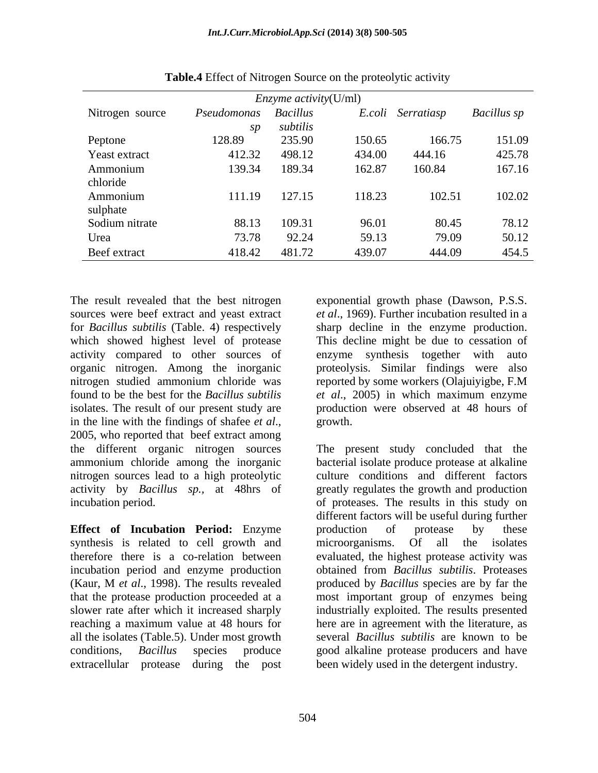|                 | <i>Enzyme activity</i> ( $U/ml$ ) |          |        |                   |                    |
|-----------------|-----------------------------------|----------|--------|-------------------|--------------------|
| Nitrogen source | Pseudomonas Bacillus              |          |        | E.coli Serratiasp | <b>Bacillus</b> sp |
|                 | SD                                | subtilis |        |                   |                    |
| Peptone         | 128.89                            | 235.90   | 150.65 | 166.75            | 151.09             |
| Yeast extract   | 412.32                            | 498.12   | 434.00 | 444.16            | 425.78             |
| Ammonium        | 139.34                            | 189.34   | 162.87 | 160.84            | 167.16             |
| chloride        |                                   |          |        |                   |                    |
| Ammonium        | 111.19                            | 127.15   | 118.23 | 102.51            | 102.02             |
| sulphate        |                                   |          |        |                   |                    |
| Sodium nitrate  | 88.13                             | 109.31   | 96.01  | 80.45             | 78.12              |
| Urea            | 73.78                             | 92.24    | 59.13  | 79.09             | 50.12              |
| Beef extract    | 418.42                            | 481.72   | 439.07 | 444.09            | 454.5              |

**Table.4** Effect of Nitrogen Source on the proteolytic activity

The result revealed that the best nitrogen exponential growth phase (Dawson, P.S.S. activity compared to other sources of enzyme synthesis together with auto in the line with the findings of shafee *et al.*, growth.<br>2005, who reported that beef extract among nitrogen sources lead to a high proteolytic

**Effect of Incubation Period:** Enzyme synthesis is related to cell growth and microorganisms. Of all the isolates incubation period and enzyme production that the protease production proceeded at a all the isolates (Table.5). Under most growth extracellular protease during the post been widely used in the detergent industry.

sources were beef extract and yeast extract *et al*., 1969). Further incubation resulted in a for *Bacillus subtilis* (Table. 4) respectively sharp decline in the enzyme production. which showed highest level of protease This decline might be due to cessation of organic nitrogen. Among the inorganic proteolysis. Similar findings were also nitrogen studied ammonium chloride was reported by some workers (Olajuiyigbe, F.M found to be the best for the *Bacillus subtilis et al*., 2005) in which maximum enzyme isolates. The result of our present study are production were observed at 48 hours of enzyme synthesis together with growth. The contract of the contract of the contract of the contract of the contract of the contract of the contract of the contract of the contract of the contract of the contract of the contract of the contract of the co

the different organic nitrogen sources The present study concluded that the ammonium chloride among the inorganic bacterial isolate produce protease at alkaline activity by *Bacillus sp.,* at 48hrs of greatly regulates the growth and production incubation period. of proteases. The results in this study on therefore there is a co-relation between evaluated, the highest protease activity was (Kaur, M *et al*., 1998). The results revealed produced by *Bacillus* species are by far the slower rate after which it increased sharply industrially exploited. The results presented reaching a maximum value at 48 hours for here are in agreement with the literature, as conditions, *Bacillus* species produce good alkaline protease producers and have culture conditions and different factors different factors will be useful during further production of protease by these microorganisms. Of all the isolates obtained from *Bacillus subtilis*. Proteases most important group of enzymes being several *Bacillus subtilis* are known to be